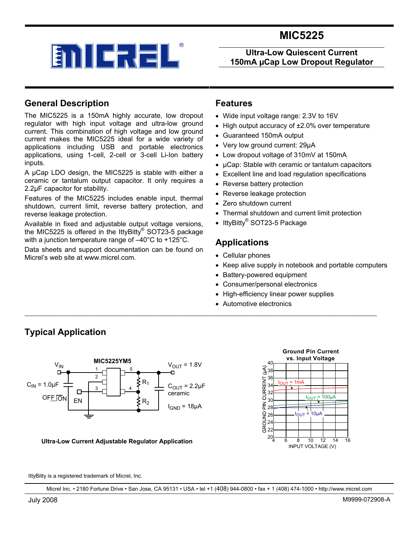



#### **Ultra-Low Quiescent Current 150mA µCap Low Dropout Regulator**

### **General Description**

**Typical Application** 

The MIC5225 is a 150mA highly accurate, low dropout regulator with high input voltage and ultra-low ground current. This combination of high voltage and low ground current makes the MIC5225 ideal for a wide variety of applications including USB and portable electronics applications, using 1-cell, 2-cell or 3-cell Li-Ion battery inputs.

A µCap LDO design, the MIC5225 is stable with either a ceramic or tantalum output capacitor. It only requires a 2.2µF capacitor for stability.

Features of the MIC5225 includes enable input, thermal shutdown, current limit, reverse battery protection, and reverse leakage protection.

Available in fixed and adjustable output voltage versions, the MIC5225 is offered in the IttyBitty® SOT23-5 package with a junction temperature range of –40°C to +125°C.

Data sheets and support documentation can be found on Micrel's web site at www.micrel.com.

### **Features**

- Wide input voltage range: 2.3V to 16V
- High output accuracy of ±2.0% over temperature
- Guaranteed 150mA output
- Very low ground current: 29µA
- Low dropout voltage of 310mV at 150mA
- µCap: Stable with ceramic or tantalum capacitors
- Excellent line and load regulation specifications
- Reverse battery protection
- Reverse leakage protection
- Zero shutdown current
- Thermal shutdown and current limit protection
- IttyBitty® SOT23-5 Package

### **Applications**

- Cellular phones
- Keep alive supply in notebook and portable computers
- Battery-powered equipment
- Consumer/personal electronics
- High-efficiency linear power supplies
- Automotive electronics



#### **Ultra-Low Current Adjustable Regulator Application**



IttyBitty is a registered trademark of Micrel, Inc.

Micrel Inc. • 2180 Fortune Drive • San Jose, CA 95131 • USA • tel +1 (408) 944-0800 • fax + 1 (408) 474-1000 • http://www.micrel.com

\_\_\_\_\_\_\_\_\_\_\_\_\_\_\_\_\_\_\_\_\_\_\_\_\_\_\_\_\_\_\_\_\_\_\_\_\_\_\_\_\_\_\_\_\_\_\_\_\_\_\_\_\_\_\_\_\_\_\_\_\_\_\_\_\_\_\_\_\_\_\_\_\_\_\_\_\_\_\_\_\_\_\_\_\_\_\_\_\_\_\_\_\_\_\_\_\_\_\_\_\_\_\_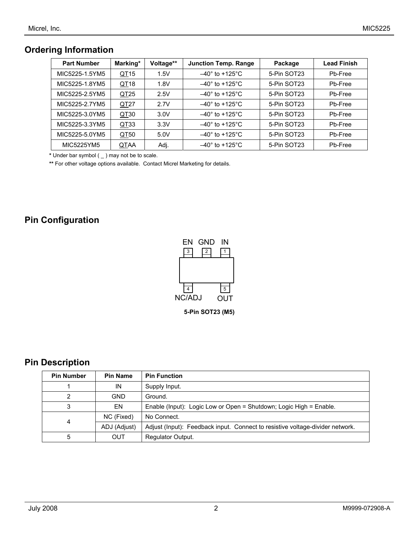### **Ordering Information**

| <b>Part Number</b> | Marking*         | Voltage** | <b>Junction Temp. Range</b><br>Package |             | <b>Lead Finish</b> |  |
|--------------------|------------------|-----------|----------------------------------------|-------------|--------------------|--|
| MIC5225-1.5YM5     | QT <sub>15</sub> | 1.5V      | $-40^\circ$ to +125 $^\circ$ C         | 5-Pin SOT23 | Pb-Free            |  |
| MIC5225-1.8YM5     | QT <sub>18</sub> | 1.8V      | $-40^{\circ}$ to +125°C                | 5-Pin SOT23 | Pb-Free            |  |
| MIC5225-2.5YM5     | QT <sub>25</sub> | 2.5V      | $-40^\circ$ to +125°C.                 | 5-Pin SOT23 | Pb-Free            |  |
| MIC5225-2.7YM5     | QT <sub>27</sub> | 2.7V      | $-40^\circ$ to +125 $^\circ$ C         | 5-Pin SOT23 | Pb-Free            |  |
| MIC5225-3.0YM5     | QT30             | 3.0V      | $-40^\circ$ to +125 $^\circ$ C         | 5-Pin SOT23 | Pb-Free            |  |
| MIC5225-3.3YM5     | QT33             | 3.3V      | $-40^\circ$ to +125 $^\circ$ C         | 5-Pin SOT23 | Pb-Free            |  |
| MIC5225-5.0YM5     | QT50             | 5.0V      | $-40^\circ$ to +125 $^\circ$ C         | 5-Pin SOT23 | Pb-Free            |  |
| MIC5225YM5         | QTAA             | Adj.      | $-40^\circ$ to +125 $^\circ$ C         | 5-Pin SOT23 | Pb-Free            |  |

 **\*** Under bar symbol ( \_ ) may not be to scale.

**\*\*** For other voltage options available. Contact Micrel Marketing for details.

### **Pin Configuration**



**5-Pin SOT23 (M5)**

### **Pin Description**

| <b>Pin Number</b> | <b>Pin Name</b> | <b>Pin Function</b>                                                           |  |
|-------------------|-----------------|-------------------------------------------------------------------------------|--|
|                   | IN              | Supply Input.                                                                 |  |
| າ                 | <b>GND</b>      | Ground.                                                                       |  |
| 3                 | EN              | Enable (Input): Logic Low or Open = Shutdown; Logic High = Enable.            |  |
| 4                 | NC (Fixed)      | No Connect.                                                                   |  |
|                   | ADJ (Adjust)    | Adjust (Input): Feedback input. Connect to resistive voltage-divider network. |  |
| 5                 | <b>OUT</b>      | Regulator Output.                                                             |  |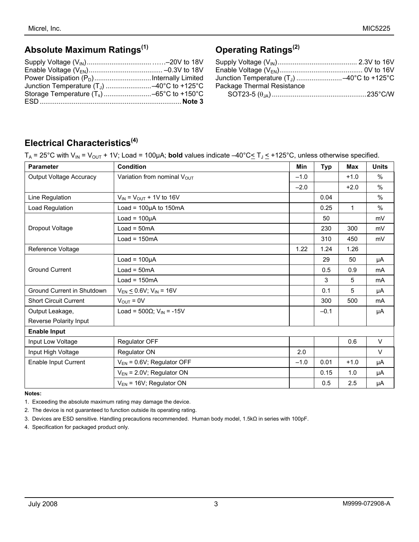# **Absolute Maximum Ratings(1)**

# **Operating Ratings(2)**

| Package Thermal Resistance |  |
|----------------------------|--|
|                            |  |

## **Electrical Characteristics(4)**

|  | $T_A$ = 25°C with V <sub>IN</sub> = V <sub>OUT</sub> + 1V; Load = 100µA; <b>bold</b> values indicate -40°C  subset T <sub>J</sub> s +125°C, unless otherwise specified. |  |
|--|-------------------------------------------------------------------------------------------------------------------------------------------------------------------------|--|
|--|-------------------------------------------------------------------------------------------------------------------------------------------------------------------------|--|

| <b>Parameter</b>               | <b>Condition</b>                            | <b>Min</b> | <b>Typ</b> | <b>Max</b> | <b>Units</b>  |
|--------------------------------|---------------------------------------------|------------|------------|------------|---------------|
| <b>Output Voltage Accuracy</b> | Variation from nominal Vout                 | $-1.0$     |            | $+1.0$     | $\%$          |
|                                |                                             | $-2.0$     |            | $+2.0$     | $\%$          |
| Line Regulation                | $V_{IN}$ = $V_{OUT}$ + 1V to 16V            |            | 0.04       |            | $\frac{0}{0}$ |
| Load Regulation                | Load = $100\mu A$ to $150mA$                |            | 0.25       | 1          | %             |
|                                | $Load = 100\mu A$                           |            | 50         |            | mV            |
| Dropout Voltage                | $Load = 50mA$                               |            | 230        | 300        | mV            |
|                                | $Load = 150mA$                              |            | 310        | 450        | mV            |
| Reference Voltage              |                                             | 1.22       | 1.24       | 1.26       |               |
|                                | $Load = 100µA$                              |            | 29         | 50         | μA            |
| <b>Ground Current</b>          | $Load = 50mA$                               |            | 0.5        | 0.9        | mA            |
|                                | $Load = 150mA$                              |            | 3          | 5          | mA            |
| Ground Current in Shutdown     | $V_{EN} \le 0.6 V$ ; $V_{IN} = 16 V$        |            | 0.1        | 5          | μA            |
| <b>Short Circuit Current</b>   | $V_{\text{OUT}} = 0V$                       |            | 300        | 500        | mA            |
| Output Leakage,                | Load = $500\Omega$ ; V <sub>IN</sub> = -15V |            | $-0.1$     |            | μA            |
| Reverse Polarity Input         |                                             |            |            |            |               |
| <b>Enable Input</b>            |                                             |            |            |            |               |
| Input Low Voltage              | Regulator OFF                               |            |            | 0.6        | V             |
| Input High Voltage             | Regulator ON                                | 2.0        |            |            | V             |
| Enable Input Current           | $V_{EN}$ = 0.6V; Regulator OFF              | $-1.0$     | 0.01       | $+1.0$     | μA            |
|                                | $V_{EN}$ = 2.0V; Regulator ON               |            | 0.15       | 1.0        | μA            |
|                                | $V_{EN}$ = 16V; Regulator ON                |            | 0.5        | 2.5        | μA            |

#### **Notes:**

1. Exceeding the absolute maximum rating may damage the device.

2. The device is not guaranteed to function outside its operating rating.

3. Devices are ESD sensitive. Handling precautions recommended. Human body model, 1.5kΩ in series with 100pF.

4. Specification for packaged product only.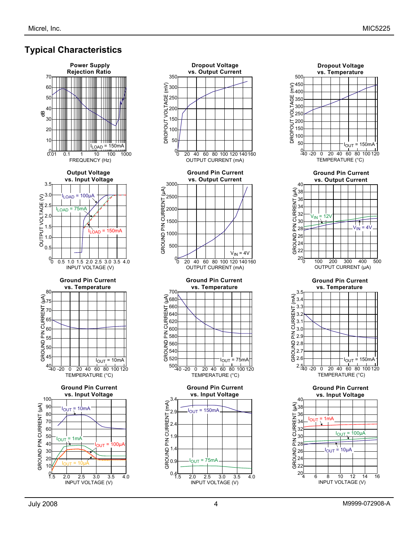# **Typical Characteristics**







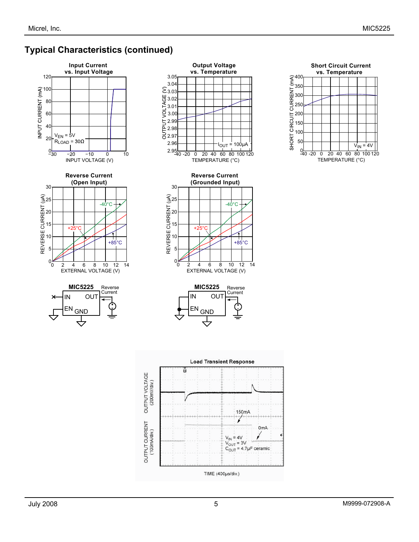## **Typical Characteristics (continued)**







**Output Voltage vs. Temperature**

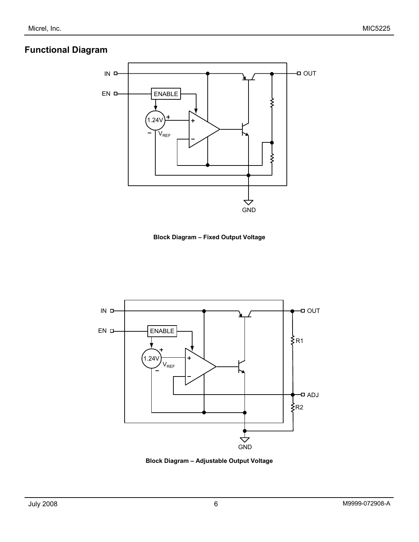## **Functional Diagram**



**Block Diagram – Fixed Output Voltage** 



**Block Diagram – Adjustable Output Voltage**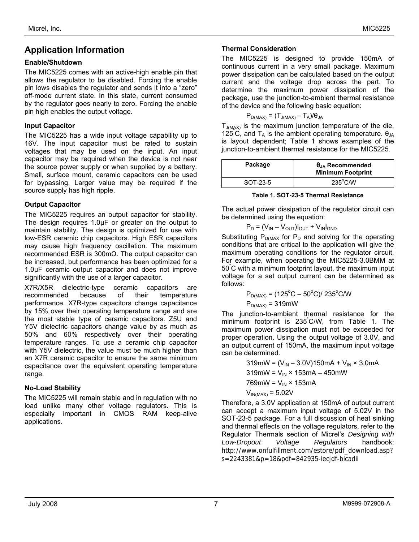### **Application Information**

#### **Enable/Shutdown**

The MIC5225 comes with an active-high enable pin that allows the regulator to be disabled. Forcing the enable pin lows disables the regulator and sends it into a "zero" off-mode current state. In this state, current consumed by the regulator goes nearly to zero. Forcing the enable pin high enables the output voltage.

#### **Input Capacitor**

The MIC5225 has a wide input voltage capability up to 16V. The input capacitor must be rated to sustain voltages that may be used on the input. An input capacitor may be required when the device is not near the source power supply or when supplied by a battery. Small, surface mount, ceramic capacitors can be used for bypassing. Larger value may be required if the source supply has high ripple.

#### **Output Capacitor**

The MIC5225 requires an output capacitor for stability. The design requires 1.0µF or greater on the output to maintain stability. The design is optimized for use with low-ESR ceramic chip capacitors. High ESR capacitors may cause high frequency oscillation. The maximum recommended ESR is 300mΩ. The output capacitor can be increased, but performance has been optimized for a 1.0µF ceramic output capacitor and does not improve significantly with the use of a larger capacitor.

X7R/X5R dielectric-type ceramic capacitors are recommended because of their temperature performance. X7R-type capacitors change capacitance by 15% over their operating temperature range and are the most stable type of ceramic capacitors. Z5U and Y5V dielectric capacitors change value by as much as 50% and 60% respectively over their operating temperature ranges. To use a ceramic chip capacitor with Y5V dielectric, the value must be much higher than an X7R ceramic capacitor to ensure the same minimum capacitance over the equivalent operating temperature range.

#### **No-Load Stability**

The MIC5225 will remain stable and in regulation with no load unlike many other voltage regulators. This is especially important in CMOS RAM keep-alive applications.

#### **Thermal Consideration**

The MIC5225 is designed to provide 150mA of continuous current in a very small package. Maximum power dissipation can be calculated based on the output current and the voltage drop across the part. To determine the maximum power dissipation of the package, use the junction-to-ambient thermal resistance of the device and the following basic equation:

$$
P_{D(MAX)} = (T_{J(MAX)} - T_A)/\theta_{JA}
$$

 $T_{J(MAX)}$  is the maximum junction temperature of the die, 125 C, and  $T_A$  is the ambient operating temperature.  $\theta_{JA}$ is layout dependent; Table 1 shows examples of the junction-to-ambient thermal resistance for the MIC5225.

| Package  | $\theta_{\text{JA}}$ Recommended<br><b>Minimum Footprint</b> |
|----------|--------------------------------------------------------------|
| SOT-23-5 | $235^{\circ}$ C/W                                            |

#### **Table 1. SOT-23-5 Thermal Resistance**

The actual power dissipation of the regulator circuit can be determined using the equation:

$$
P_D = (V_{IN} - V_{OUT})I_{OUT} + V_{IN}I_{GND}
$$

Substituting  $P_{D(MAX)}$  for  $P_D$  and solving for the operating conditions that are critical to the application will give the maximum operating conditions for the regulator circuit. For example, when operating the MIC5225-3.0BMM at 50° C with a minimum footprint layout, the maximum input voltage for a set output current can be determined as follows:

$$
P_{D(MAX)} = (125^{\circ}C - 50^{\circ}C)/235^{\circ}C/W
$$

 $P_{D(MAX)} = 319$ mW

The junction-to-ambient thermal resistance for the minimum footprint is 235° C/W, from Table 1. The maximum power dissipation must not be exceeded for proper operation. Using the output voltage of 3.0V, and an output current of 150mA, the maximum input voltage can be determined.

> mW = (V<sub>IN</sub> – 3.0V)150mA + V<sub>IN</sub> × 3.0mA mW =  $V_{IN}$  × 153mA – 450mW mW =  $V_{IN}$  × 153mA  $V_{IN(MAX)} = 5.02V$

Therefore, a 3.0V application at 150mA of output current can accept a maximum input voltage of 5.02V in the SOT-23-5 package. For a full discussion of heat sinking and thermal effects on the voltage regulators, refer to the Regulator Thermals section of Micrel's *Designing with Low-Dropout Voltage Regulators* handbook: http://www.onfulfillment.com/estore/pdf\_download.asp? s=2243381&p=18&pdf=842935-iecjdf-bicadii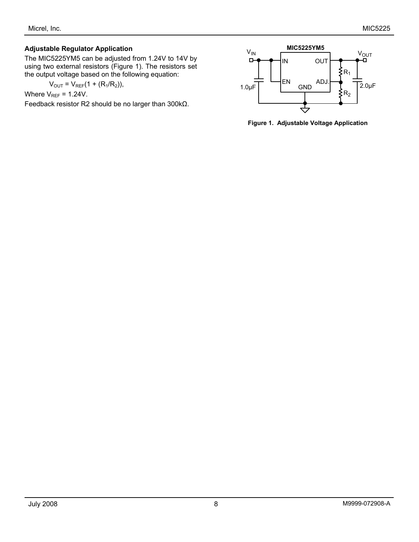#### **Adjustable Regulator Application**

The MIC5225YM5 can be adjusted from 1.24V to 14V by using two external resistors (Figure 1). The resistors set the output voltage based on the following equation:

$$
V_{OUT} = V_{REF}(1 + (R_1/R_2)),
$$

Where  $V_{REF} = 1.24V$ .

Feedback resistor R2 should be no larger than 300kΩ.



**Figure 1. Adjustable Voltage Application**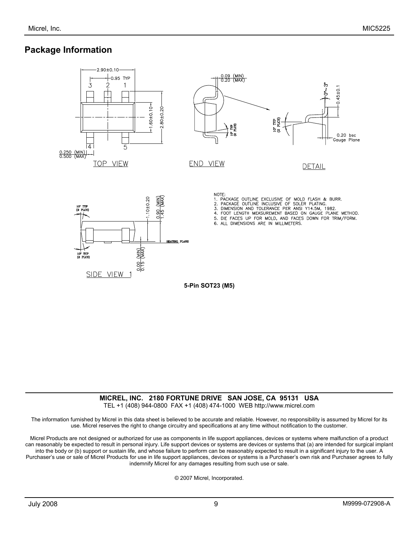### **Package Information**



#### **MICREL, INC. 2180 FORTUNE DRIVE SAN JOSE, CA 95131 USA**  TEL +1 (408) 944-0800 FAX +1 (408) 474-1000 WEB http://www.micrel.com

The information furnished by Micrel in this data sheet is believed to be accurate and reliable. However, no responsibility is assumed by Micrel for its use. Micrel reserves the right to change circuitry and specifications at any time without notification to the customer.

Micrel Products are not designed or authorized for use as components in life support appliances, devices or systems where malfunction of a product can reasonably be expected to result in personal injury. Life support devices or systems are devices or systems that (a) are intended for surgical implant into the body or (b) support or sustain life, and whose failure to perform can be reasonably expected to result in a significant injury to the user. A Purchaser's use or sale of Micrel Products for use in life support appliances, devices or systems is a Purchaser's own risk and Purchaser agrees to fully indemnify Micrel for any damages resulting from such use or sale.

© 2007 Micrel, Incorporated.